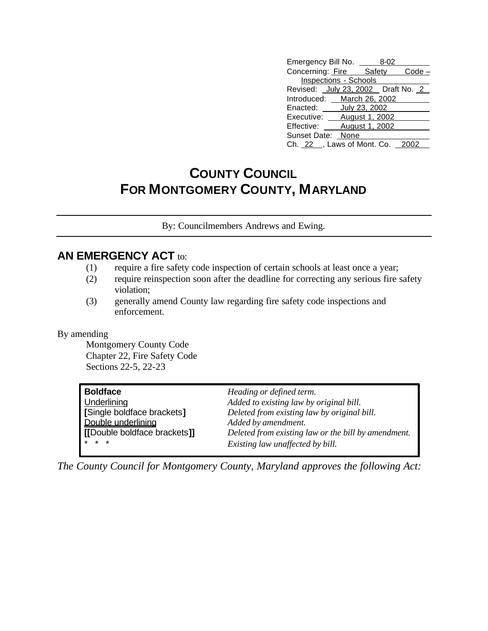| Emergency Bill No. _                | 8-02 |  |
|-------------------------------------|------|--|
| Concerning: Fire Safety Code        |      |  |
| <b>Inspections - Schools</b>        |      |  |
| Revised: July 23, 2002  Draft No. 2 |      |  |
| Introduced: March 26, 2002          |      |  |
| Enacted: ______ July 23, 2002       |      |  |
| Executive: ___ August 1, 2002       |      |  |
| Effective: August 1, 2002           |      |  |
| Sunset Date: None                   |      |  |
| Ch. 22 __ , Laws of Mont. Co. 2002  |      |  |

# **COUNTY COUNCIL FOR MONTGOMERY COUNTY, MARYLAND**

By: Councilmembers Andrews and Ewing.

## **AN EMERGENCY ACT to:**

- (1) require a fire safety code inspection of certain schools at least once a year;
- (2) require reinspection soon after the deadline for correcting any serious fire safety violation;
- (3) generally amend County law regarding fire safety code inspections and enforcement.

#### By amending

Montgomery County Code Chapter 22, Fire Safety Code Sections 22-5, 22-23

| <b>Boldface</b>               | Heading or defined term.                            |
|-------------------------------|-----------------------------------------------------|
| <b>Underlining</b>            | Added to existing law by original bill.             |
| [Single boldface brackets]    | Deleted from existing law by original bill.         |
| Double underlining            | Added by amendment.                                 |
| I IDouble boldface brackets]] | Deleted from existing law or the bill by amendment. |
| $* * *$                       | Existing law unaffected by bill.                    |

*The County Council for Montgomery County, Maryland approves the following Act:*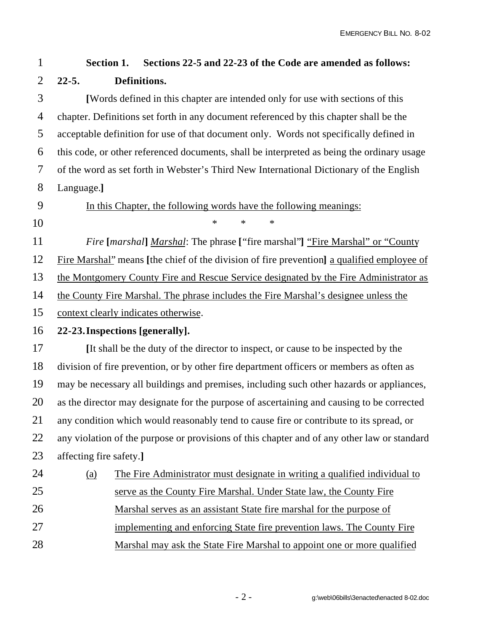## **Section 1. Sections 22-5 and 22-23 of the Code are amended as follows: 22-5. Definitions.**

 **[**Words defined in this chapter are intended only for use with sections of this chapter. Definitions set forth in any document referenced by this chapter shall be the acceptable definition for use of that document only. Words not specifically defined in this code, or other referenced documents, shall be interpreted as being the ordinary usage of the word as set forth in Webster's Third New International Dictionary of the English Language.**]**

In this Chapter, the following words have the following meanings:

\* \* \*

*Fire* **[***marshal***]** *Marshal*: The phrase **[**"fire marshal"**]** "Fire Marshal" or "County

Fire Marshal" means **[**the chief of the division of fire prevention**]** a qualified employee of

the Montgomery County Fire and Rescue Service designated by the Fire Administrator as

the County Fire Marshal. The phrase includes the Fire Marshal's designee unless the

context clearly indicates otherwise.

### **22-23.Inspections [generally].**

 **[**It shall be the duty of the director to inspect, or cause to be inspected by the division of fire prevention, or by other fire department officers or members as often as may be necessary all buildings and premises, including such other hazards or appliances, as the director may designate for the purpose of ascertaining and causing to be corrected any condition which would reasonably tend to cause fire or contribute to its spread, or 22 any violation of the purpose or provisions of this chapter and of any other law or standard affecting fire safety.**]**

| 24 | (a) | The Fire Administrator must designate in writing a qualified individual to |
|----|-----|----------------------------------------------------------------------------|
| 25 |     | serve as the County Fire Marshal. Under State law, the County Fire         |
| 26 |     | Marshal serves as an assistant State fire marshal for the purpose of       |
| 27 |     | implementing and enforcing State fire prevention laws. The County Fire     |
| 28 |     | Marshal may ask the State Fire Marshal to appoint one or more qualified    |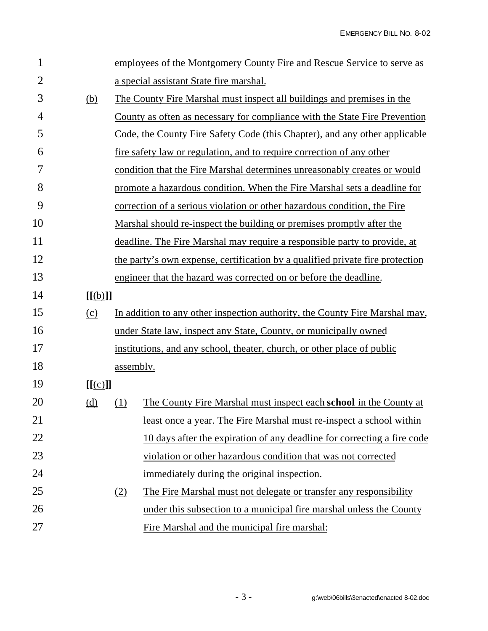| 1              |                  |           | employees of the Montgomery County Fire and Rescue Service to serve as        |
|----------------|------------------|-----------|-------------------------------------------------------------------------------|
| $\overline{2}$ |                  |           | a special assistant State fire marshal.                                       |
| 3              | (b)              |           | The County Fire Marshal must inspect all buildings and premises in the        |
| 4              |                  |           | County as often as necessary for compliance with the State Fire Prevention    |
| 5              |                  |           | Code, the County Fire Safety Code (this Chapter), and any other applicable    |
| 6              |                  |           | fire safety law or regulation, and to require correction of any other         |
| 7              |                  |           | condition that the Fire Marshal determines unreasonably creates or would      |
| 8              |                  |           | promote a hazardous condition. When the Fire Marshal sets a deadline for      |
| 9              |                  |           | correction of a serious violation or other hazardous condition, the Fire      |
| 10             |                  |           | Marshal should re-inspect the building or premises promptly after the         |
| 11             |                  |           | deadline. The Fire Marshal may require a responsible party to provide, at     |
| 12             |                  |           | the party's own expense, certification by a qualified private fire protection |
| 13             |                  |           | engineer that the hazard was corrected on or before the deadline.             |
| 14             | [[ <b>(b)</b> ]] |           |                                                                               |
| 15             | $\Omega$         |           | In addition to any other inspection authority, the County Fire Marshal may,   |
| 16             |                  |           | under State law, inspect any State, County, or municipally owned              |
| 17             |                  |           | institutions, and any school, theater, church, or other place of public       |
| 18             |                  | assembly. |                                                                               |
| 19             | [[(c)]]          |           |                                                                               |
| 20             | <u>(d)</u>       | (1)       | The County Fire Marshal must inspect each school in the County at             |
| 21             |                  |           | least once a year. The Fire Marshal must re-inspect a school within           |
| 22             |                  |           | 10 days after the expiration of any deadline for correcting a fire code       |
| 23             |                  |           | violation or other hazardous condition that was not corrected                 |
| 24             |                  |           | immediately during the original inspection.                                   |
| 25             |                  | (2)       | The Fire Marshal must not delegate or transfer any responsibility             |
| 26             |                  |           | under this subsection to a municipal fire marshal unless the County           |
| 27             |                  |           | Fire Marshal and the municipal fire marshal:                                  |